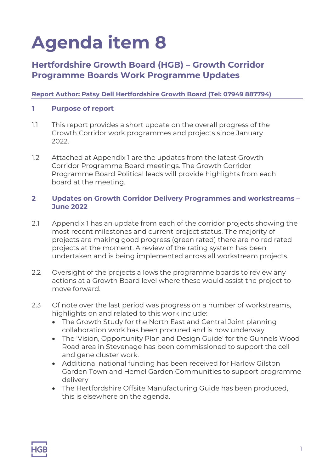# **Agenda item 8**

## **Hertfordshire Growth Board (HGB) – Growth Corridor Programme Boards Work Programme Updates**

#### **Report Author: Patsy Dell Hertfordshire Growth Board (Tel: 07949 887794)**

#### **1 Purpose of report**

- 1.1 This report provides a short update on the overall progress of the Growth Corridor work programmes and projects since January 2022.
- 1.2 Attached at Appendix 1 are the updates from the latest Growth Corridor Programme Board meetings. The Growth Corridor Programme Board Political leads will provide highlights from each board at the meeting.

#### **2 Updates on Growth Corridor Delivery Programmes and workstreams – June 2022**

- 2.1 Appendix 1 has an update from each of the corridor projects showing the most recent milestones and current project status. The majority of projects are making good progress (green rated) there are no red rated projects at the moment. A review of the rating system has been undertaken and is being implemented across all workstream projects.
- 2.2 Oversight of the projects allows the programme boards to review any actions at a Growth Board level where these would assist the project to move forward.
- 2.3 Of note over the last period was progress on a number of workstreams, highlights on and related to this work include:
	- The Growth Study for the North East and Central Joint planning collaboration work has been procured and is now underway
	- The 'Vision, Opportunity Plan and Design Guide' for the Gunnels Wood Road area in Stevenage has been commissioned to support the cell and gene cluster work.
	- Additional national funding has been received for Harlow Gilston Garden Town and Hemel Garden Communities to support programme delivery
	- The Hertfordshire Offsite Manufacturing Guide has been produced, this is elsewhere on the agenda.